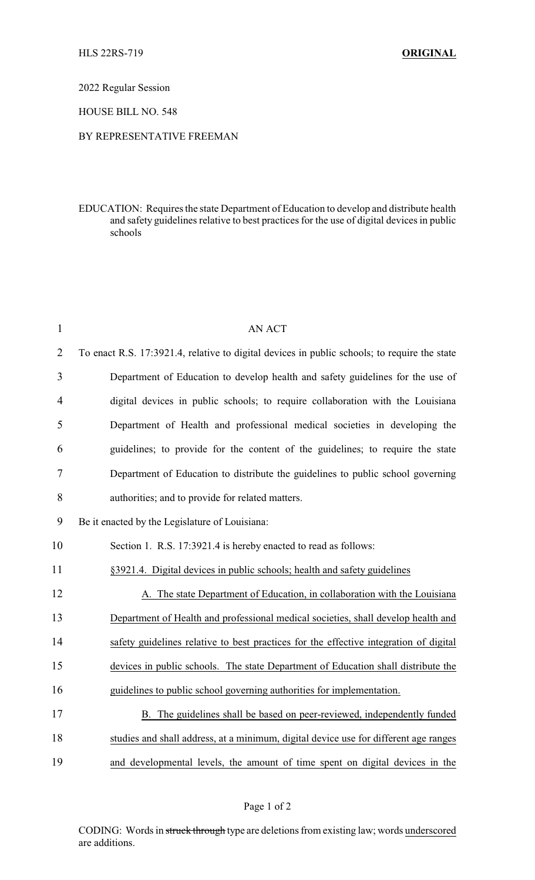2022 Regular Session

HOUSE BILL NO. 548

## BY REPRESENTATIVE FREEMAN

EDUCATION: Requires the state Department of Education to develop and distribute health and safety guidelines relative to best practices for the use of digital devices in public schools

| $\mathbf{1}$   | <b>AN ACT</b>                                                                                |  |
|----------------|----------------------------------------------------------------------------------------------|--|
| $\overline{2}$ | To enact R.S. 17:3921.4, relative to digital devices in public schools; to require the state |  |
| 3              | Department of Education to develop health and safety guidelines for the use of               |  |
| $\overline{4}$ | digital devices in public schools; to require collaboration with the Louisiana               |  |
| 5              | Department of Health and professional medical societies in developing the                    |  |
| 6              | guidelines; to provide for the content of the guidelines; to require the state               |  |
| 7              | Department of Education to distribute the guidelines to public school governing              |  |
| 8              | authorities; and to provide for related matters.                                             |  |
| 9              | Be it enacted by the Legislature of Louisiana:                                               |  |
| 10             | Section 1. R.S. 17:3921.4 is hereby enacted to read as follows:                              |  |
| 11             | §3921.4. Digital devices in public schools; health and safety guidelines                     |  |
| 12             | A. The state Department of Education, in collaboration with the Louisiana                    |  |
| 13             | Department of Health and professional medical societies, shall develop health and            |  |
| 14             | safety guidelines relative to best practices for the effective integration of digital        |  |
| 15             | devices in public schools. The state Department of Education shall distribute the            |  |
| 16             | guidelines to public school governing authorities for implementation.                        |  |
| 17             | B. The guidelines shall be based on peer-reviewed, independently funded                      |  |
| 18             | studies and shall address, at a minimum, digital device use for different age ranges         |  |
| 19             | and developmental levels, the amount of time spent on digital devices in the                 |  |